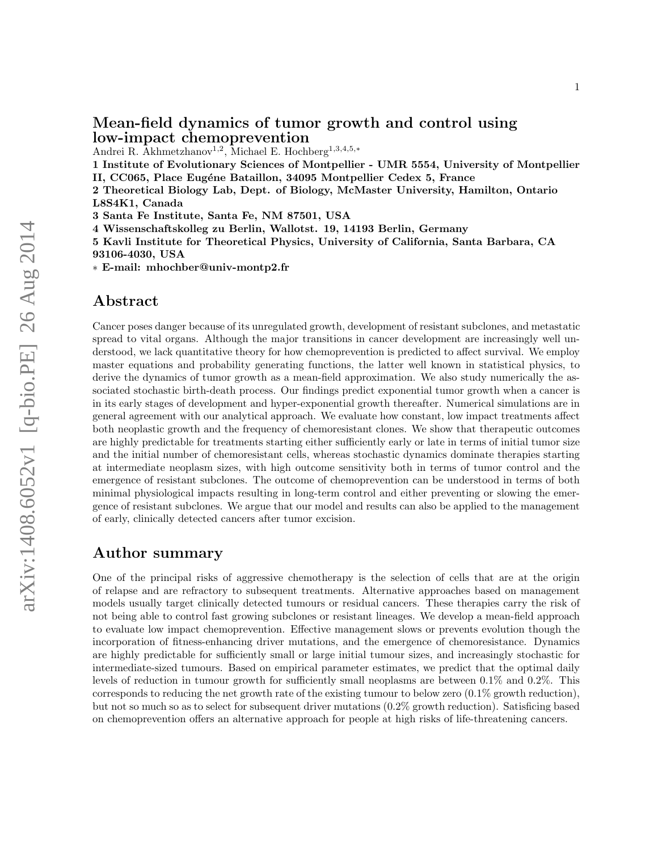### Mean-field dynamics of tumor growth and control using low-impact chemoprevention

Andrei R. Akhmetzhanov<sup>1,2</sup>, Michael E. Hochberg<sup>1,3,4,5,\*</sup>

1 Institute of Evolutionary Sciences of Montpellier - UMR 5554, University of Montpellier II, CC065, Place Eugéne Bataillon, 34095 Montpellier Cedex 5, France

2 Theoretical Biology Lab, Dept. of Biology, McMaster University, Hamilton, Ontario L8S4K1, Canada

3 Santa Fe Institute, Santa Fe, NM 87501, USA

4 Wissenschaftskolleg zu Berlin, Wallotst. 19, 14193 Berlin, Germany

5 Kavli Institute for Theoretical Physics, University of California, Santa Barbara, CA 93106-4030, USA

∗ E-mail: mhochber@univ-montp2.fr

### Abstract

Cancer poses danger because of its unregulated growth, development of resistant subclones, and metastatic spread to vital organs. Although the major transitions in cancer development are increasingly well understood, we lack quantitative theory for how chemoprevention is predicted to affect survival. We employ master equations and probability generating functions, the latter well known in statistical physics, to derive the dynamics of tumor growth as a mean-field approximation. We also study numerically the associated stochastic birth-death process. Our findings predict exponential tumor growth when a cancer is in its early stages of development and hyper-exponential growth thereafter. Numerical simulations are in general agreement with our analytical approach. We evaluate how constant, low impact treatments affect both neoplastic growth and the frequency of chemoresistant clones. We show that therapeutic outcomes are highly predictable for treatments starting either sufficiently early or late in terms of initial tumor size and the initial number of chemoresistant cells, whereas stochastic dynamics dominate therapies starting at intermediate neoplasm sizes, with high outcome sensitivity both in terms of tumor control and the emergence of resistant subclones. The outcome of chemoprevention can be understood in terms of both minimal physiological impacts resulting in long-term control and either preventing or slowing the emergence of resistant subclones. We argue that our model and results can also be applied to the management of early, clinically detected cancers after tumor excision.

### Author summary

One of the principal risks of aggressive chemotherapy is the selection of cells that are at the origin of relapse and are refractory to subsequent treatments. Alternative approaches based on management models usually target clinically detected tumours or residual cancers. These therapies carry the risk of not being able to control fast growing subclones or resistant lineages. We develop a mean-field approach to evaluate low impact chemoprevention. Effective management slows or prevents evolution though the incorporation of fitness-enhancing driver mutations, and the emergence of chemoresistance. Dynamics are highly predictable for sufficiently small or large initial tumour sizes, and increasingly stochastic for intermediate-sized tumours. Based on empirical parameter estimates, we predict that the optimal daily levels of reduction in tumour growth for sufficiently small neoplasms are between 0.1% and 0.2%. This corresponds to reducing the net growth rate of the existing tumour to below zero  $(0.1\%$  growth reduction). but not so much so as to select for subsequent driver mutations (0.2% growth reduction). Satisficing based on chemoprevention offers an alternative approach for people at high risks of life-threatening cancers.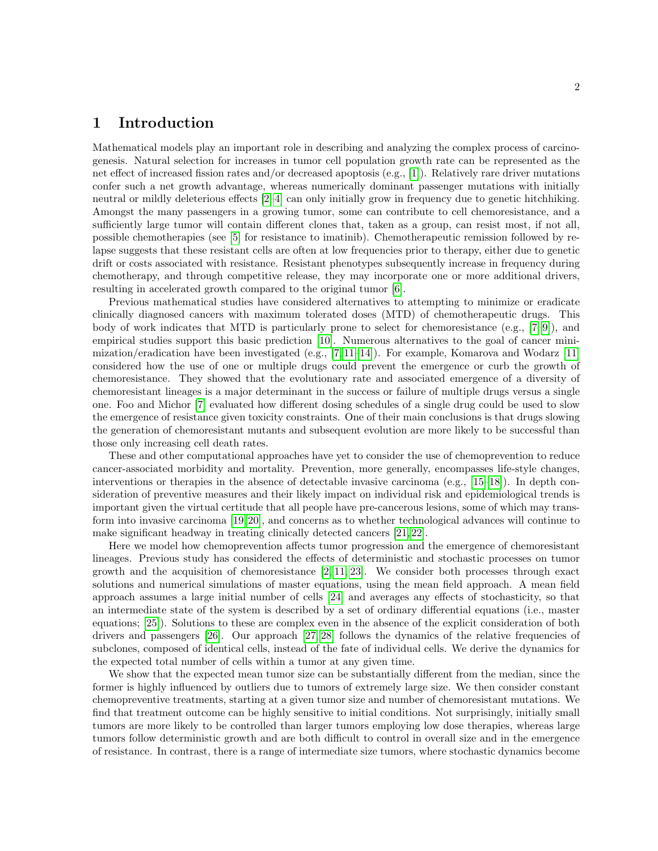## 1 Introduction

Mathematical models play an important role in describing and analyzing the complex process of carcinogenesis. Natural selection for increases in tumor cell population growth rate can be represented as the net effect of increased fission rates and/or decreased apoptosis (e.g., [\[1\]](#page-13-0)). Relatively rare driver mutations confer such a net growth advantage, whereas numerically dominant passenger mutations with initially neutral or mildly deleterious effects [\[2–](#page-13-1)[4\]](#page-13-2) can only initially grow in frequency due to genetic hitchhiking. Amongst the many passengers in a growing tumor, some can contribute to cell chemoresistance, and a sufficiently large tumor will contain different clones that, taken as a group, can resist most, if not all, possible chemotherapies (see [\[5\]](#page-13-3) for resistance to imatinib). Chemotherapeutic remission followed by relapse suggests that these resistant cells are often at low frequencies prior to therapy, either due to genetic drift or costs associated with resistance. Resistant phenotypes subsequently increase in frequency during chemotherapy, and through competitive release, they may incorporate one or more additional drivers, resulting in accelerated growth compared to the original tumor [\[6\]](#page-13-4).

Previous mathematical studies have considered alternatives to attempting to minimize or eradicate clinically diagnosed cancers with maximum tolerated doses (MTD) of chemotherapeutic drugs. This body of work indicates that MTD is particularly prone to select for chemoresistance (e.g., [\[7–](#page-13-5)[9\]](#page-13-6)), and empirical studies support this basic prediction [\[10\]](#page-13-7). Numerous alternatives to the goal of cancer minimization/eradication have been investigated (e.g.,  $[7, 11-14]$  $[7, 11-14]$  $[7, 11-14]$ ). For example, Komarova and Wodarz  $[11]$ considered how the use of one or multiple drugs could prevent the emergence or curb the growth of chemoresistance. They showed that the evolutionary rate and associated emergence of a diversity of chemoresistant lineages is a major determinant in the success or failure of multiple drugs versus a single one. Foo and Michor [\[7\]](#page-13-5) evaluated how different dosing schedules of a single drug could be used to slow the emergence of resistance given toxicity constraints. One of their main conclusions is that drugs slowing the generation of chemoresistant mutants and subsequent evolution are more likely to be successful than those only increasing cell death rates.

These and other computational approaches have yet to consider the use of chemoprevention to reduce cancer-associated morbidity and mortality. Prevention, more generally, encompasses life-style changes, interventions or therapies in the absence of detectable invasive carcinoma (e.g., [\[15](#page-14-0)[–18\]](#page-14-1)). In depth consideration of preventive measures and their likely impact on individual risk and epidemiological trends is important given the virtual certitude that all people have pre-cancerous lesions, some of which may transform into invasive carcinoma [\[19,](#page-14-2) [20\]](#page-14-3), and concerns as to whether technological advances will continue to make significant headway in treating clinically detected cancers [\[21,](#page-14-4) [22\]](#page-14-5).

Here we model how chemoprevention affects tumor progression and the emergence of chemoresistant lineages. Previous study has considered the effects of deterministic and stochastic processes on tumor growth and the acquisition of chemoresistance  $[2, 11, 23]$  $[2, 11, 23]$  $[2, 11, 23]$ . We consider both processes through exact solutions and numerical simulations of master equations, using the mean field approach. A mean field approach assumes a large initial number of cells [\[24\]](#page-14-7) and averages any effects of stochasticity, so that an intermediate state of the system is described by a set of ordinary differential equations (i.e., master equations; [\[25\]](#page-14-8)). Solutions to these are complex even in the absence of the explicit consideration of both drivers and passengers [\[26\]](#page-14-9). Our approach [\[27,](#page-14-10) [28\]](#page-14-11) follows the dynamics of the relative frequencies of subclones, composed of identical cells, instead of the fate of individual cells. We derive the dynamics for the expected total number of cells within a tumor at any given time.

We show that the expected mean tumor size can be substantially different from the median, since the former is highly influenced by outliers due to tumors of extremely large size. We then consider constant chemopreventive treatments, starting at a given tumor size and number of chemoresistant mutations. We find that treatment outcome can be highly sensitive to initial conditions. Not surprisingly, initially small tumors are more likely to be controlled than larger tumors employing low dose therapies, whereas large tumors follow deterministic growth and are both difficult to control in overall size and in the emergence of resistance. In contrast, there is a range of intermediate size tumors, where stochastic dynamics become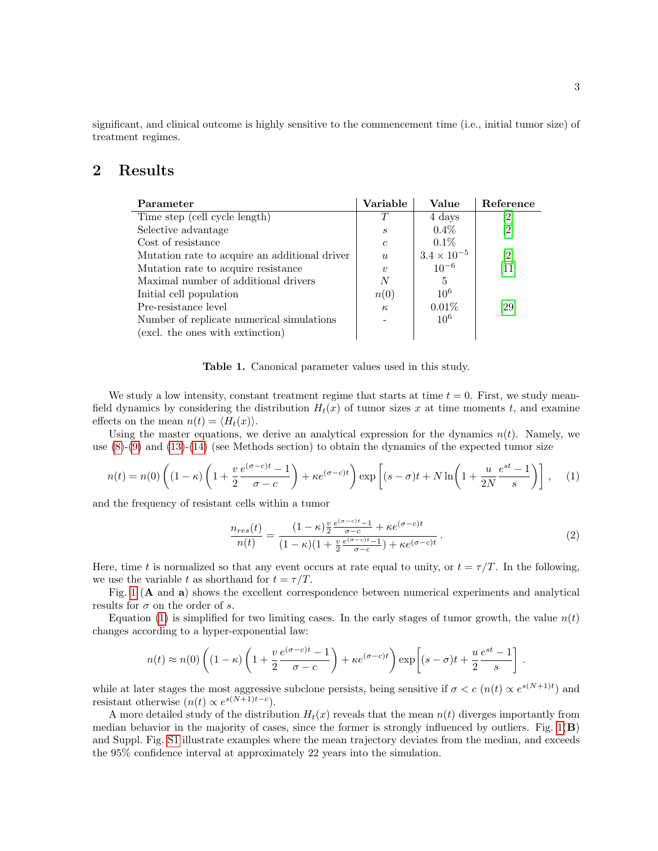significant, and clinical outcome is highly sensitive to the commencement time (i.e., initial tumor size) of treatment regimes.

## <span id="page-2-1"></span>2 Results

| Parameter                                     | Variable         | Value                | Reference          |
|-----------------------------------------------|------------------|----------------------|--------------------|
| Time step (cell cycle length)                 | T                | 4 days               | [2]                |
| Selective advantage                           | $\boldsymbol{s}$ | $0.4\%$              |                    |
| Cost of resistance                            | $\mathfrak c$    | 0.1%                 |                    |
| Mutation rate to acquire an additional driver | $\boldsymbol{u}$ | $3.4 \times 10^{-5}$ |                    |
| Mutation rate to acquire resistance           | $\boldsymbol{v}$ | $10^{-6}$            | [11]               |
| Maximal number of additional drivers          | N                | 5                    |                    |
| Initial cell population                       | n(0)             | $10^{6}$             |                    |
| Pre-resistance level                          | $\kappa$         | 0.01%                | $\left[ 29\right]$ |
| Number of replicate numerical simulations     |                  | $10^{6}$             |                    |
| (excl. the ones with extinction)              |                  |                      |                    |

Table 1. Canonical parameter values used in this study.

We study a low intensity, constant treatment regime that starts at time  $t = 0$ . First, we study meanfield dynamics by considering the distribution  $H_t(x)$  of tumor sizes x at time moments t, and examine effects on the mean  $n(t) = \langle H_t(x) \rangle$ .

Using the master equations, we derive an analytical expression for the dynamics  $n(t)$ . Namely, we use [\(8\)](#page-11-0)-[\(9\)](#page-12-0) and [\(13\)](#page-12-1)-[\(14\)](#page-12-2) (see Methods section) to obtain the dynamics of the expected tumor size

<span id="page-2-0"></span>
$$
n(t) = n(0) \left( (1 - \kappa) \left( 1 + \frac{v e^{(\sigma - c)t} - 1}{2 \sigma - c} \right) + \kappa e^{(\sigma - c)t} \right) \exp\left[ (s - \sigma)t + N \ln\left( 1 + \frac{u e^{st} - 1}{2N \sigma s} \right) \right], \quad (1)
$$

and the frequency of resistant cells within a tumor

$$
\frac{n_{res}(t)}{n(t)} = \frac{(1-\kappa)\frac{v}{2}\frac{e^{(\sigma-c)t}-1}{\sigma-c} + \kappa e^{(\sigma-c)t}}{(1-\kappa)(1+\frac{v}{2}\frac{e^{(\sigma-c)t}-1}{\sigma-c}) + \kappa e^{(\sigma-c)t}}.
$$
\n(2)

Here, time t is normalized so that any event occurs at rate equal to unity, or  $t = \tau/T$ . In the following, we use the variable t as shorthand for  $t = \tau/T$ .

Fig. [1](#page-3-0) (A and a) shows the excellent correspondence between numerical experiments and analytical results for  $\sigma$  on the order of s.

Equation [\(1\)](#page-2-0) is simplified for two limiting cases. In the early stages of tumor growth, the value  $n(t)$ changes according to a hyper-exponential law:

$$
n(t) \approx n(0) \left( (1 - \kappa) \left( 1 + \frac{v e^{(\sigma - c)t} - 1}{2 \sigma - c} \right) + \kappa e^{(\sigma - c)t} \right) \exp\left[ (s - \sigma)t + \frac{u e^{st} - 1}{2 \sigma s} \right].
$$

while at later stages the most aggressive subclone persists, being sensitive if  $\sigma < c \left( n(t) \propto e^{s(N+1)t} \right)$  and resistant otherwise  $(n(t) \propto e^{s(N+1)t-c}).$ 

A more detailed study of the distribution  $H_t(x)$  reveals that the mean  $n(t)$  diverges importantly from median behavior in the majority of cases, since the former is strongly influenced by outliers. Fig.  $1(\mathbf{B})$ and Suppl. Fig. [S1](#page-16-0) illustrate examples where the mean trajectory deviates from the median, and exceeds the 95% confidence interval at approximately 22 years into the simulation.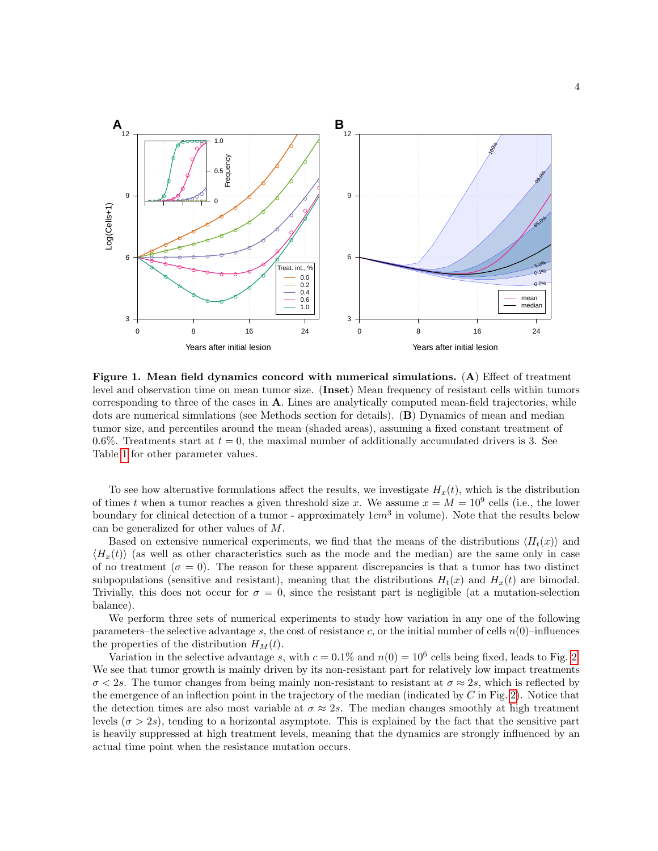<span id="page-3-0"></span>

Figure 1. Mean field dynamics concord with numerical simulations. (A) Effect of treatment level and observation time on mean tumor size. (Inset) Mean frequency of resistant cells within tumors corresponding to three of the cases in A. Lines are analytically computed mean-field trajectories, while dots are numerical simulations (see Methods section for details). (B) Dynamics of mean and median tumor size, and percentiles around the mean (shaded areas), assuming a fixed constant treatment of 0.6%. Treatments start at  $t = 0$ , the maximal number of additionally accumulated drivers is 3. See Table [1](#page-2-1) for other parameter values.

To see how alternative formulations affect the results, we investigate  $H_x(t)$ , which is the distribution of times t when a tumor reaches a given threshold size x. We assume  $x = M = 10^9$  cells (i.e., the lower boundary for clinical detection of a tumor - approximately  $1cm<sup>3</sup>$  in volume). Note that the results below can be generalized for other values of M.

Based on extensive numerical experiments, we find that the means of the distributions  $\langle H_t(x) \rangle$  and  $\langle H_x(t) \rangle$  (as well as other characteristics such as the mode and the median) are the same only in case of no treatment ( $\sigma = 0$ ). The reason for these apparent discrepancies is that a tumor has two distinct subpopulations (sensitive and resistant), meaning that the distributions  $H_t(x)$  and  $H_x(t)$  are bimodal. Trivially, this does not occur for  $\sigma = 0$ , since the resistant part is negligible (at a mutation-selection balance).

We perform three sets of numerical experiments to study how variation in any one of the following parameters–the selective advantage s, the cost of resistance c, or the initial number of cells  $n(0)$ –influences the properties of the distribution  $H_M(t)$ .

Variation in the selective advantage s, with  $c = 0.1\%$  and  $n(0) = 10^6$  cells being fixed, leads to Fig. [2.](#page-4-0) We see that tumor growth is mainly driven by its non-resistant part for relatively low impact treatments  $\sigma < 2s$ . The tumor changes from being mainly non-resistant to resistant at  $\sigma \approx 2s$ , which is reflected by the emergence of an inflection point in the trajectory of the median (indicated by  $C$  in Fig. [2\)](#page-4-0). Notice that the detection times are also most variable at  $\sigma \approx 2s$ . The median changes smoothly at high treatment levels  $(\sigma > 2s)$ , tending to a horizontal asymptote. This is explained by the fact that the sensitive part is heavily suppressed at high treatment levels, meaning that the dynamics are strongly influenced by an actual time point when the resistance mutation occurs.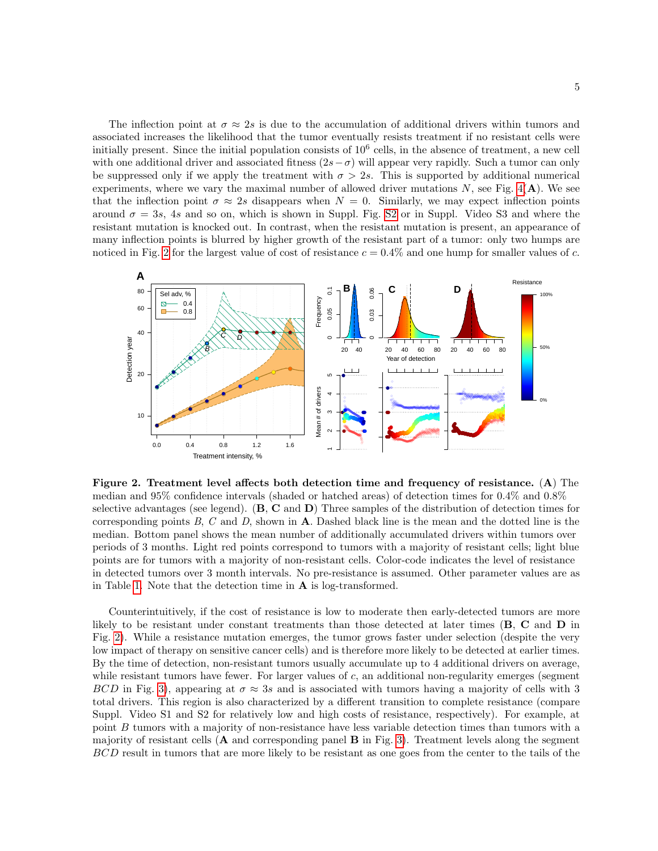The inflection point at  $\sigma \approx 2s$  is due to the accumulation of additional drivers within tumors and associated increases the likelihood that the tumor eventually resists treatment if no resistant cells were initially present. Since the initial population consists of  $10^6$  cells, in the absence of treatment, a new cell with one additional driver and associated fitness  $(2s-\sigma)$  will appear very rapidly. Such a tumor can only be suppressed only if we apply the treatment with  $\sigma > 2s$ . This is supported by additional numerical experiments, where we vary the maximal number of allowed driver mutations  $N$ , see Fig.  $4(\mathbf{A})$ . We see that the inflection point  $\sigma \approx 2s$  disappears when  $N = 0$ . Similarly, we may expect inflection points around  $\sigma = 3s$ , 4s and so on, which is shown in Suppl. Fig. [S2](#page-17-0) or in Suppl. Video S3 and where the resistant mutation is knocked out. In contrast, when the resistant mutation is present, an appearance of many inflection points is blurred by higher growth of the resistant part of a tumor: only two humps are noticed in Fig. [2](#page-4-0) for the largest value of cost of resistance  $c = 0.4\%$  and one hump for smaller values of c.

<span id="page-4-0"></span>

Figure 2. Treatment level affects both detection time and frequency of resistance. (A) The median and 95% confidence intervals (shaded or hatched areas) of detection times for 0.4% and 0.8% selective advantages (see legend).  $(\mathbf{B}, \mathbf{C}, \mathbf{C})$  and  $(\mathbf{D})$  Three samples of the distribution of detection times for corresponding points  $B, C$  and  $D$ , shown in  $A$ . Dashed black line is the mean and the dotted line is the median. Bottom panel shows the mean number of additionally accumulated drivers within tumors over periods of 3 months. Light red points correspond to tumors with a majority of resistant cells; light blue points are for tumors with a majority of non-resistant cells. Color-code indicates the level of resistance in detected tumors over 3 month intervals. No pre-resistance is assumed. Other parameter values are as in Table [1.](#page-2-1) Note that the detection time in A is log-transformed.

Counterintuitively, if the cost of resistance is low to moderate then early-detected tumors are more likely to be resistant under constant treatments than those detected at later times (B, C and D in Fig. [2\)](#page-4-0). While a resistance mutation emerges, the tumor grows faster under selection (despite the very low impact of therapy on sensitive cancer cells) and is therefore more likely to be detected at earlier times. By the time of detection, non-resistant tumors usually accumulate up to 4 additional drivers on average, while resistant tumors have fewer. For larger values of c, an additional non-regularity emerges (segment BCD in Fig. [3\)](#page-5-0), appearing at  $\sigma \approx 3s$  and is associated with tumors having a majority of cells with 3 total drivers. This region is also characterized by a different transition to complete resistance (compare Suppl. Video S1 and S2 for relatively low and high costs of resistance, respectively). For example, at point B tumors with a majority of non-resistance have less variable detection times than tumors with a majority of resistant cells  $(A \text{ and corresponding panel } B \text{ in Fig. 3})$ . Treatment levels along the segment BCD result in tumors that are more likely to be resistant as one goes from the center to the tails of the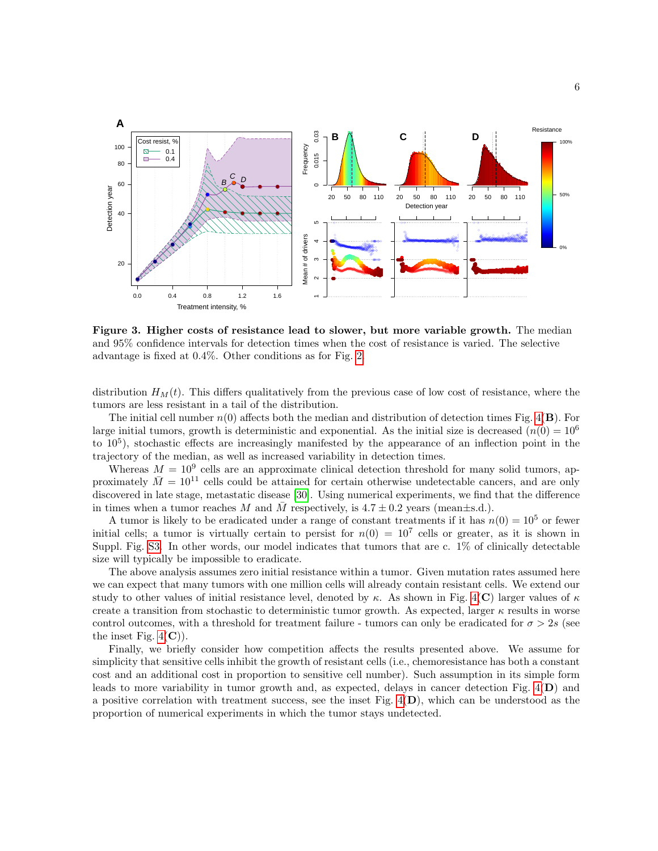<span id="page-5-0"></span>

Figure 3. Higher costs of resistance lead to slower, but more variable growth. The median and 95% confidence intervals for detection times when the cost of resistance is varied. The selective advantage is fixed at 0.4%. Other conditions as for Fig. [2.](#page-4-0)

distribution  $H_M(t)$ . This differs qualitatively from the previous case of low cost of resistance, where the tumors are less resistant in a tail of the distribution.

The initial cell number  $n(0)$  affects both the median and distribution of detection times Fig. [4\(](#page-6-0)**B**). For large initial tumors, growth is deterministic and exponential. As the initial size is decreased  $(n(0) = 10^6$ to  $10<sup>5</sup>$ ), stochastic effects are increasingly manifested by the appearance of an inflection point in the trajectory of the median, as well as increased variability in detection times.

Whereas  $M = 10^9$  cells are an approximate clinical detection threshold for many solid tumors, approximately  $\bar{M} = 10^{11}$  cells could be attained for certain otherwise undetectable cancers, and are only discovered in late stage, metastatic disease [\[30\]](#page-14-13). Using numerical experiments, we find that the difference in times when a tumor reaches M and M respectively, is  $4.7 \pm 0.2$  years (mean $\pm$ s.d.).

A tumor is likely to be eradicated under a range of constant treatments if it has  $n(0) = 10^5$  or fewer initial cells; a tumor is virtually certain to persist for  $n(0) = 10^7$  cells or greater, as it is shown in Suppl. Fig. [S3.](#page-18-0) In other words, our model indicates that tumors that are c. 1% of clinically detectable size will typically be impossible to eradicate.

The above analysis assumes zero initial resistance within a tumor. Given mutation rates assumed here we can expect that many tumors with one million cells will already contain resistant cells. We extend our study to other values of initial resistance level, denoted by  $\kappa$ . As shown in Fig. [4\(](#page-6-0)C) larger values of  $\kappa$ create a transition from stochastic to deterministic tumor growth. As expected, larger  $\kappa$  results in worse control outcomes, with a threshold for treatment failure - tumors can only be eradicated for  $\sigma > 2s$  (see the inset Fig.  $4(\mathbf{C})$ .

Finally, we briefly consider how competition affects the results presented above. We assume for simplicity that sensitive cells inhibit the growth of resistant cells (i.e., chemoresistance has both a constant cost and an additional cost in proportion to sensitive cell number). Such assumption in its simple form leads to more variability in tumor growth and, as expected, delays in cancer detection Fig.  $4(D)$  and a positive correlation with treatment success, see the inset Fig.  $4(D)$ , which can be understood as the proportion of numerical experiments in which the tumor stays undetected.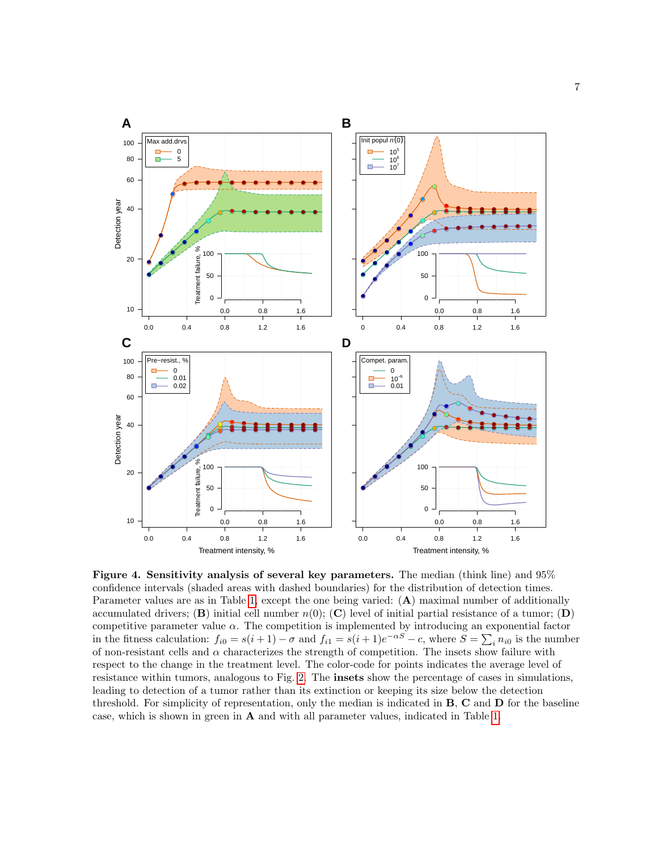<span id="page-6-0"></span>

Figure 4. Sensitivity analysis of several key parameters. The median (think line) and 95% confidence intervals (shaded areas with dashed boundaries) for the distribution of detection times. Parameter values are as in Table [1,](#page-2-1) except the one being varied: (A) maximal number of additionally accumulated drivers; (B) initial cell number  $n(0)$ ; (C) level of initial partial resistance of a tumor; (D) competitive parameter value  $\alpha$ . The competition is implemented by introducing an exponential factor in the fitness calculation:  $f_{i0} = s(i+1) - \sigma$  and  $f_{i1} = s(i+1)e^{-\alpha S} - c$ , where  $S = \sum_i n_{i0}$  is the number of non-resistant cells and  $\alpha$  characterizes the strength of competition. The insets show failure with respect to the change in the treatment level. The color-code for points indicates the average level of resistance within tumors, analogous to Fig. [2.](#page-4-0) The insets show the percentage of cases in simulations, leading to detection of a tumor rather than its extinction or keeping its size below the detection threshold. For simplicity of representation, only the median is indicated in B, C and D for the baseline case, which is shown in green in A and with all parameter values, indicated in Table [1.](#page-2-1)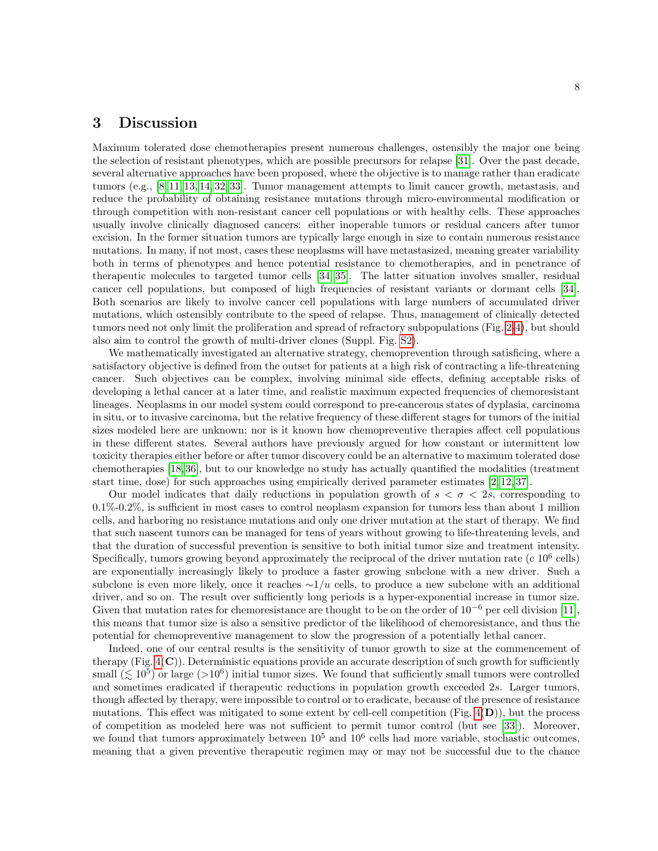### 3 Discussion

Maximum tolerated dose chemotherapies present numerous challenges, ostensibly the major one being the selection of resistant phenotypes, which are possible precursors for relapse [\[31\]](#page-14-14). Over the past decade, several alternative approaches have been proposed, where the objective is to manage rather than eradicate tumors (e.g., [\[8,](#page-13-10) [11,](#page-13-8) [13,](#page-13-11) [14,](#page-13-9) [32,](#page-14-15) [33\]](#page-14-16). Tumor management attempts to limit cancer growth, metastasis, and reduce the probability of obtaining resistance mutations through micro-environmental modification or through competition with non-resistant cancer cell populations or with healthy cells. These approaches usually involve clinically diagnosed cancers: either inoperable tumors or residual cancers after tumor excision. In the former situation tumors are typically large enough in size to contain numerous resistance mutations. In many, if not most, cases these neoplasms will have metastasized, meaning greater variability both in terms of phenotypes and hence potential resistance to chemotherapies, and in penetrance of therapeutic molecules to targeted tumor cells [\[34,](#page-14-17) [35\]](#page-15-0). The latter situation involves smaller, residual cancer cell populations, but composed of high frequencies of resistant variants or dormant cells [\[34\]](#page-14-17). Both scenarios are likely to involve cancer cell populations with large numbers of accumulated driver mutations, which ostensibly contribute to the speed of relapse. Thus, management of clinically detected tumors need not only limit the proliferation and spread of refractory subpopulations (Fig. [2-](#page-4-0)[4\)](#page-6-0), but should also aim to control the growth of multi-driver clones (Suppl. Fig. [S2\)](#page-17-0).

We mathematically investigated an alternative strategy, chemoprevention through satisficing, where a satisfactory objective is defined from the outset for patients at a high risk of contracting a life-threatening cancer. Such objectives can be complex, involving minimal side effects, defining acceptable risks of developing a lethal cancer at a later time, and realistic maximum expected frequencies of chemoresistant lineages. Neoplasms in our model system could correspond to pre-cancerous states of dyplasia, carcinoma in situ, or to invasive carcinoma, but the relative frequency of these different stages for tumors of the initial sizes modeled here are unknown; nor is it known how chemopreventive therapies affect cell populations in these different states. Several authors have previously argued for how constant or intermittent low toxicity therapies either before or after tumor discovery could be an alternative to maximum tolerated dose chemotherapies [\[18,](#page-14-1) [36\]](#page-15-1), but to our knowledge no study has actually quantified the modalities (treatment start time, dose) for such approaches using empirically derived parameter estimates [\[2,](#page-13-1) [12,](#page-13-12) [37\]](#page-15-2).

Our model indicates that daily reductions in population growth of  $s < \sigma < 2s$ , corresponding to 0.1%-0.2%, is sufficient in most cases to control neoplasm expansion for tumors less than about 1 million cells, and harboring no resistance mutations and only one driver mutation at the start of therapy. We find that such nascent tumors can be managed for tens of years without growing to life-threatening levels, and that the duration of successful prevention is sensitive to both initial tumor size and treatment intensity. Specifically, tumors growing beyond approximately the reciprocal of the driver mutation rate (c  $10^6$  cells) are exponentially increasingly likely to produce a faster growing subclone with a new driver. Such a subclone is even more likely, once it reaches  $\sim 1/u$  cells, to produce a new subclone with an additional driver, and so on. The result over sufficiently long periods is a hyper-exponential increase in tumor size. Given that mutation rates for chemoresistance are thought to be on the order of  $10^{-6}$  per cell division [\[11\]](#page-13-8), this means that tumor size is also a sensitive predictor of the likelihood of chemoresistance, and thus the potential for chemopreventive management to slow the progression of a potentially lethal cancer.

Indeed, one of our central results is the sensitivity of tumor growth to size at the commencement of therapy (Fig.  $4(C)$ ). Deterministic equations provide an accurate description of such growth for sufficiently small  $(\leq 10^5)$  or large (>10<sup>6</sup>) initial tumor sizes. We found that sufficiently small tumors were controlled and sometimes eradicated if therapeutic reductions in population growth exceeded 2s. Larger tumors, though affected by therapy, were impossible to control or to eradicate, because of the presence of resistance mutations. This effect was mitigated to some extent by cell-cell competition (Fig.  $4(D)$ ), but the process of competition as modeled here was not sufficient to permit tumor control (but see [\[33\]](#page-14-16)). Moreover, we found that tumors approximately between  $10^5$  and  $10^6$  cells had more variable, stochastic outcomes, meaning that a given preventive therapeutic regimen may or may not be successful due to the chance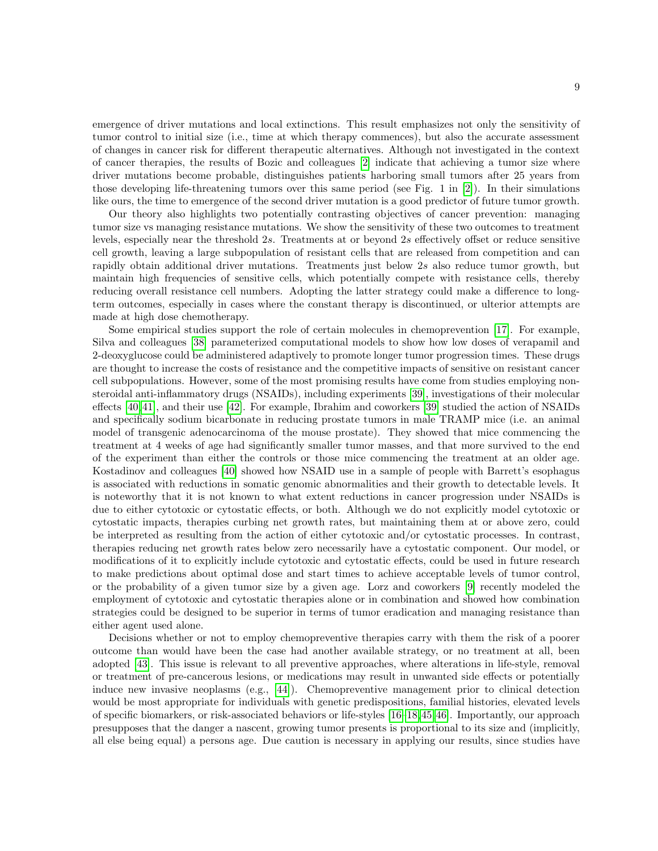emergence of driver mutations and local extinctions. This result emphasizes not only the sensitivity of tumor control to initial size (i.e., time at which therapy commences), but also the accurate assessment of changes in cancer risk for different therapeutic alternatives. Although not investigated in the context of cancer therapies, the results of Bozic and colleagues [\[2\]](#page-13-1) indicate that achieving a tumor size where driver mutations become probable, distinguishes patients harboring small tumors after 25 years from those developing life-threatening tumors over this same period (see Fig. 1 in [\[2\]](#page-13-1)). In their simulations like ours, the time to emergence of the second driver mutation is a good predictor of future tumor growth.

Our theory also highlights two potentially contrasting objectives of cancer prevention: managing tumor size vs managing resistance mutations. We show the sensitivity of these two outcomes to treatment levels, especially near the threshold 2s. Treatments at or beyond 2s effectively offset or reduce sensitive cell growth, leaving a large subpopulation of resistant cells that are released from competition and can rapidly obtain additional driver mutations. Treatments just below 2s also reduce tumor growth, but maintain high frequencies of sensitive cells, which potentially compete with resistance cells, thereby reducing overall resistance cell numbers. Adopting the latter strategy could make a difference to longterm outcomes, especially in cases where the constant therapy is discontinued, or ulterior attempts are made at high dose chemotherapy.

Some empirical studies support the role of certain molecules in chemoprevention [\[17\]](#page-14-18). For example, Silva and colleagues [\[38\]](#page-15-3) parameterized computational models to show how low doses of verapamil and 2-deoxyglucose could be administered adaptively to promote longer tumor progression times. These drugs are thought to increase the costs of resistance and the competitive impacts of sensitive on resistant cancer cell subpopulations. However, some of the most promising results have come from studies employing nonsteroidal anti-inflammatory drugs (NSAIDs), including experiments [\[39\]](#page-15-4), investigations of their molecular effects [\[40,](#page-15-5)[41\]](#page-15-6), and their use [\[42\]](#page-15-7). For example, Ibrahim and coworkers [\[39\]](#page-15-4) studied the action of NSAIDs and specifically sodium bicarbonate in reducing prostate tumors in male TRAMP mice (i.e. an animal model of transgenic adenocarcinoma of the mouse prostate). They showed that mice commencing the treatment at 4 weeks of age had significantly smaller tumor masses, and that more survived to the end of the experiment than either the controls or those mice commencing the treatment at an older age. Kostadinov and colleagues [\[40\]](#page-15-5) showed how NSAID use in a sample of people with Barrett's esophagus is associated with reductions in somatic genomic abnormalities and their growth to detectable levels. It is noteworthy that it is not known to what extent reductions in cancer progression under NSAIDs is due to either cytotoxic or cytostatic effects, or both. Although we do not explicitly model cytotoxic or cytostatic impacts, therapies curbing net growth rates, but maintaining them at or above zero, could be interpreted as resulting from the action of either cytotoxic and/or cytostatic processes. In contrast, therapies reducing net growth rates below zero necessarily have a cytostatic component. Our model, or modifications of it to explicitly include cytotoxic and cytostatic effects, could be used in future research to make predictions about optimal dose and start times to achieve acceptable levels of tumor control, or the probability of a given tumor size by a given age. Lorz and coworkers [\[9\]](#page-13-6) recently modeled the employment of cytotoxic and cytostatic therapies alone or in combination and showed how combination strategies could be designed to be superior in terms of tumor eradication and managing resistance than either agent used alone.

Decisions whether or not to employ chemopreventive therapies carry with them the risk of a poorer outcome than would have been the case had another available strategy, or no treatment at all, been adopted [\[43\]](#page-15-8). This issue is relevant to all preventive approaches, where alterations in life-style, removal or treatment of pre-cancerous lesions, or medications may result in unwanted side effects or potentially induce new invasive neoplasms (e.g., [\[44\]](#page-15-9)). Chemopreventive management prior to clinical detection would be most appropriate for individuals with genetic predispositions, familial histories, elevated levels of specific biomarkers, or risk-associated behaviors or life-styles [\[16–](#page-14-19)[18,](#page-14-1)[45,](#page-15-10)[46\]](#page-15-11). Importantly, our approach presupposes that the danger a nascent, growing tumor presents is proportional to its size and (implicitly, all else being equal) a persons age. Due caution is necessary in applying our results, since studies have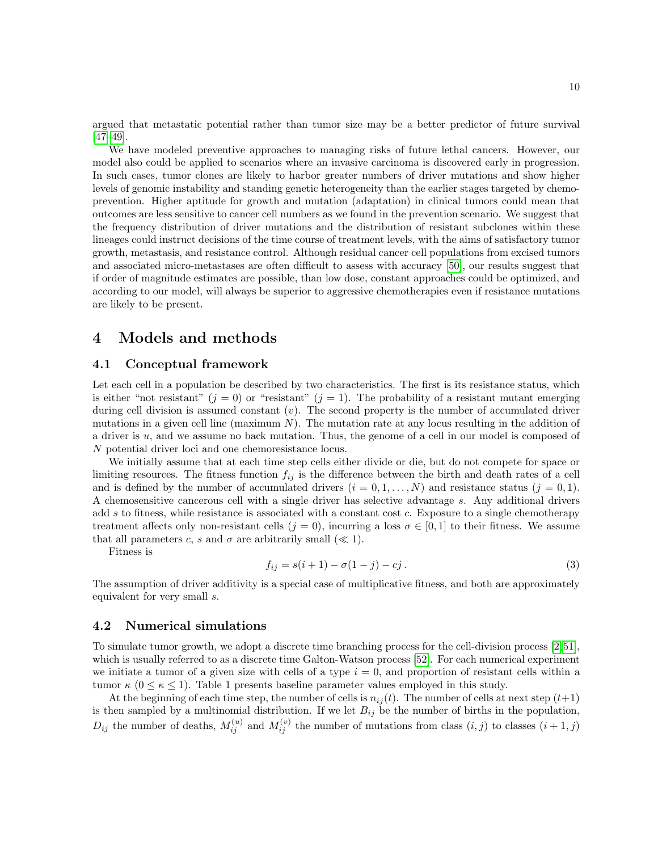argued that metastatic potential rather than tumor size may be a better predictor of future survival [\[47–](#page-15-12)[49\]](#page-15-13).

We have modeled preventive approaches to managing risks of future lethal cancers. However, our model also could be applied to scenarios where an invasive carcinoma is discovered early in progression. In such cases, tumor clones are likely to harbor greater numbers of driver mutations and show higher levels of genomic instability and standing genetic heterogeneity than the earlier stages targeted by chemoprevention. Higher aptitude for growth and mutation (adaptation) in clinical tumors could mean that outcomes are less sensitive to cancer cell numbers as we found in the prevention scenario. We suggest that the frequency distribution of driver mutations and the distribution of resistant subclones within these lineages could instruct decisions of the time course of treatment levels, with the aims of satisfactory tumor growth, metastasis, and resistance control. Although residual cancer cell populations from excised tumors and associated micro-metastases are often difficult to assess with accuracy [\[50\]](#page-15-14), our results suggest that if order of magnitude estimates are possible, than low dose, constant approaches could be optimized, and according to our model, will always be superior to aggressive chemotherapies even if resistance mutations are likely to be present.

## 4 Models and methods

#### 4.1 Conceptual framework

Let each cell in a population be described by two characteristics. The first is its resistance status, which is either "not resistant"  $(j = 0)$  or "resistant"  $(j = 1)$ . The probability of a resistant mutant emerging during cell division is assumed constant  $(v)$ . The second property is the number of accumulated driver mutations in a given cell line (maximum  $N$ ). The mutation rate at any locus resulting in the addition of a driver is u, and we assume no back mutation. Thus, the genome of a cell in our model is composed of N potential driver loci and one chemoresistance locus.

We initially assume that at each time step cells either divide or die, but do not compete for space or limiting resources. The fitness function  $f_{ij}$  is the difference between the birth and death rates of a cell and is defined by the number of accumulated drivers  $(i = 0, 1, ..., N)$  and resistance status  $(j = 0, 1)$ . A chemosensitive cancerous cell with a single driver has selective advantage s. Any additional drivers add s to fitness, while resistance is associated with a constant cost  $c$ . Exposure to a single chemotherapy treatment affects only non-resistant cells  $(j = 0)$ , incurring a loss  $\sigma \in [0,1]$  to their fitness. We assume that all parameters c, s and  $\sigma$  are arbitrarily small  $(\ll 1)$ .

Fitness is

$$
f_{ij} = s(i+1) - \sigma(1-j) - cj.
$$
 (3)

The assumption of driver additivity is a special case of multiplicative fitness, and both are approximately equivalent for very small s.

#### 4.2 Numerical simulations

To simulate tumor growth, we adopt a discrete time branching process for the cell-division process [\[2,](#page-13-1)[51\]](#page-15-15), which is usually referred to as a discrete time Galton-Watson process [\[52\]](#page-15-16). For each numerical experiment we initiate a tumor of a given size with cells of a type  $i = 0$ , and proportion of resistant cells within a tumor  $\kappa$  ( $0 \leq \kappa \leq 1$ ). Table 1 presents baseline parameter values employed in this study.

At the beginning of each time step, the number of cells is  $n_{ij}(t)$ . The number of cells at next step  $(t+1)$ is then sampled by a multinomial distribution. If we let  $B_{ij}$  be the number of births in the population,  $D_{ij}$  the number of deaths,  $M_{ij}^{(u)}$  and  $M_{ij}^{(v)}$  the number of mutations from class  $(i, j)$  to classes  $(i + 1, j)$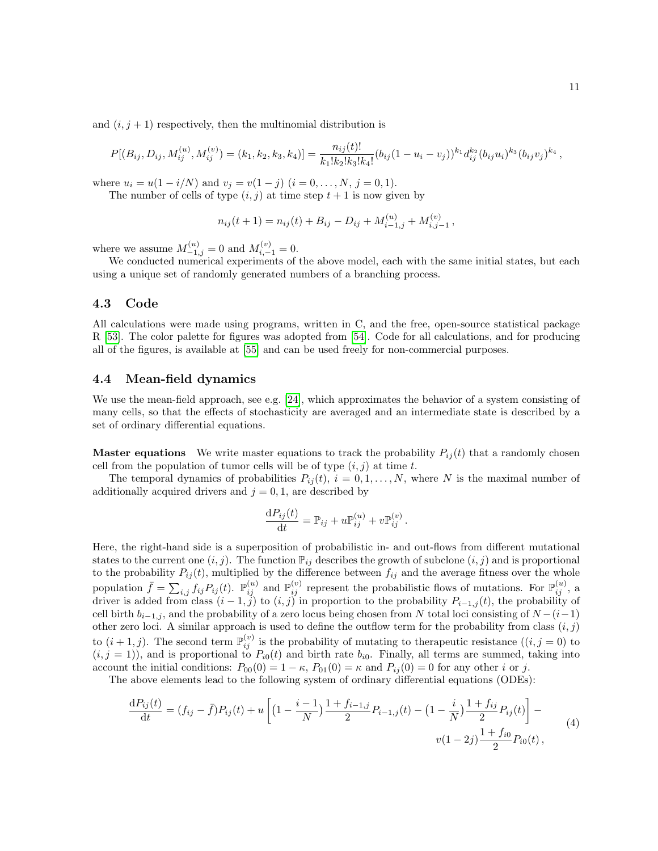and  $(i, j + 1)$  respectively, then the multinomial distribution is

$$
P[(B_{ij}, D_{ij}, M_{ij}^{(u)}, M_{ij}^{(v)}) = (k_1, k_2, k_3, k_4)] = \frac{n_{ij}(t)!}{k_1! k_2! k_3! k_4!} (b_{ij}(1 - u_i - v_j))^{k_1} d_{ij}^{k_2} (b_{ij}u_i)^{k_3} (b_{ij}v_j)^{k_4}
$$

where  $u_i = u(1 - i/N)$  and  $v_j = v(1 - j)$   $(i = 0, \ldots, N, j = 0, 1)$ .

The number of cells of type  $(i, j)$  at time step  $t + 1$  is now given by

$$
n_{ij}(t+1) = n_{ij}(t) + B_{ij} - D_{ij} + M_{i-1,j}^{(u)} + M_{i,j-1}^{(v)},
$$

where we assume  $M_{-1,j}^{(u)} = 0$  and  $M_{i,-1}^{(v)} = 0$ .

We conducted numerical experiments of the above model, each with the same initial states, but each using a unique set of randomly generated numbers of a branching process.

#### 4.3 Code

All calculations were made using programs, written in C, and the free, open-source statistical package R [\[53\]](#page-15-17). The color palette for figures was adopted from [\[54\]](#page-16-1). Code for all calculations, and for producing all of the figures, is available at [\[55\]](#page-16-2) and can be used freely for non-commercial purposes.

#### 4.4 Mean-field dynamics

We use the mean-field approach, see e.g. [\[24\]](#page-14-7), which approximates the behavior of a system consisting of many cells, so that the effects of stochasticity are averaged and an intermediate state is described by a set of ordinary differential equations.

**Master equations** We write master equations to track the probability  $P_{ij}(t)$  that a randomly chosen cell from the population of tumor cells will be of type  $(i, j)$  at time t.

The temporal dynamics of probabilities  $P_{ij}(t)$ ,  $i = 0, 1, \ldots, N$ , where N is the maximal number of additionally acquired drivers and  $j = 0, 1$ , are described by

$$
\frac{\mathrm{d}P_{ij}(t)}{\mathrm{d}t} = \mathbb{P}_{ij} + u\mathbb{P}_{ij}^{(u)} + v\mathbb{P}_{ij}^{(v)}.
$$

Here, the right-hand side is a superposition of probabilistic in- and out-flows from different mutational states to the current one  $(i, j)$ . The function  $\mathbb{P}_{ij}$  describes the growth of subclone  $(i, j)$  and is proportional to the probability  $P_{ij}(t)$ , multiplied by the difference between  $f_{ij}$  and the average fitness over the whole population  $\bar{f} = \sum_{i,j} f_{ij} P_{ij}(t)$ .  $\mathbb{P}_{ij}^{(u)}$  and  $\mathbb{P}_{ij}^{(v)}$  represent the probabilistic flows of mutations. For  $\mathbb{P}_{ij}^{(u)}$ , a driver is added from class  $(i-1, j)$  to  $(i, j)$  in proportion to the probability  $P_{i-1,j}(t)$ , the probability of cell birth  $b_{i-1,j}$ , and the probability of a zero locus being chosen from N total loci consisting of  $N-(i-1)$ other zero loci. A similar approach is used to define the outflow term for the probability from class  $(i, j)$ to  $(i + 1, j)$ . The second term  $\mathbb{P}_{ij}^{(v)}$  is the probability of mutating to the rapeutic resistance  $((i, j = 0)$  to  $(i, j = 1)$ , and is proportional to  $P_{i0}(t)$  and birth rate  $b_{i0}$ . Finally, all terms are summed, taking into account the initial conditions:  $P_{00}(0) = 1 - \kappa$ ,  $P_{01}(0) = \kappa$  and  $P_{ij}(0) = 0$  for any other i or j.

The above elements lead to the following system of ordinary differential equations (ODEs):

<span id="page-10-0"></span>
$$
\frac{dP_{ij}(t)}{dt} = (f_{ij} - \bar{f})P_{ij}(t) + u\left[ \left(1 - \frac{i-1}{N}\right) \frac{1 + f_{i-1,j}}{2} P_{i-1,j}(t) - \left(1 - \frac{i}{N}\right) \frac{1 + f_{ij}}{2} P_{ij}(t) \right] - \nu(1 - 2j) \frac{1 + f_{i0}}{2} P_{i0}(t),\tag{4}
$$

,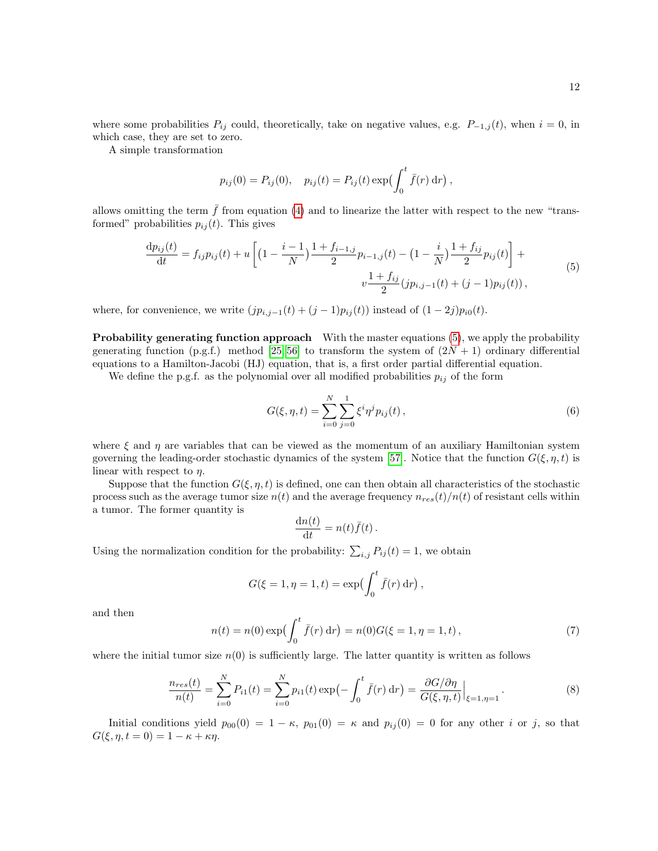where some probabilities  $P_{ij}$  could, theoretically, take on negative values, e.g.  $P_{-1,j}(t)$ , when  $i = 0$ , in which case, they are set to zero.

A simple transformation

$$
p_{ij}(0) = P_{ij}(0), \quad p_{ij}(t) = P_{ij}(t) \exp\left(\int_0^t \bar{f}(r) dr\right)
$$

allows omitting the term  $\bar{f}$  from equation [\(4\)](#page-10-0) and to linearize the latter with respect to the new "transformed" probabilities  $p_{ij}(t)$ . This gives

$$
\frac{dp_{ij}(t)}{dt} = f_{ij}p_{ij}(t) + u \left[ \left( 1 - \frac{i-1}{N} \right) \frac{1 + f_{i-1,j}}{2} p_{i-1,j}(t) - \left( 1 - \frac{i}{N} \right) \frac{1 + f_{ij}}{2} p_{ij}(t) \right] + \frac{1 + f_{ij}}{2} (jp_{i,j-1}(t) + (j-1)p_{ij}(t)),
$$
\n(5)

<span id="page-11-1"></span>where, for convenience, we write  $(jp_{i,j-1}(t) + (j-1)p_{ij}(t))$  instead of  $(1-2j)p_{i0}(t)$ .

**Probability generating function approach** With the master equations [\(5\)](#page-11-1), we apply the probability generating function (p.g.f.) method [\[25,](#page-14-8) [56\]](#page-16-3) to transform the system of  $(2N + 1)$  ordinary differential equations to a Hamilton-Jacobi (HJ) equation, that is, a first order partial differential equation.

We define the p.g.f. as the polynomial over all modified probabilities  $p_{ij}$  of the form

$$
G(\xi, \eta, t) = \sum_{i=0}^{N} \sum_{j=0}^{1} \xi^{i} \eta^{j} p_{ij}(t), \qquad (6)
$$

,

where  $\xi$  and  $\eta$  are variables that can be viewed as the momentum of an auxiliary Hamiltonian system governing the leading-order stochastic dynamics of the system [\[57\]](#page-16-4). Notice that the function  $G(\xi, \eta, t)$  is linear with respect to  $\eta$ .

Suppose that the function  $G(\xi, \eta, t)$  is defined, one can then obtain all characteristics of the stochastic process such as the average tumor size  $n(t)$  and the average frequency  $n_{res}(t)/n(t)$  of resistant cells within a tumor. The former quantity is

$$
\frac{\mathrm{d}n(t)}{\mathrm{d}t} = n(t)\bar{f}(t).
$$

Using the normalization condition for the probability:  $\sum_{i,j} P_{ij}(t) = 1$ , we obtain

$$
G(\xi = 1, \eta = 1, t) = \exp\left(\int_0^t \bar{f}(r) dr\right),
$$

and then

$$
n(t) = n(0) \exp\left(\int_0^t \bar{f}(r) dr\right) = n(0)G(\xi = 1, \eta = 1, t), \tag{7}
$$

where the initial tumor size  $n(0)$  is sufficiently large. The latter quantity is written as follows

<span id="page-11-0"></span>
$$
\frac{n_{res}(t)}{n(t)} = \sum_{i=0}^{N} P_{i1}(t) = \sum_{i=0}^{N} p_{i1}(t) \exp\left(-\int_{0}^{t} \bar{f}(r) dr\right) = \frac{\partial G/\partial \eta}{G(\xi, \eta, t)}\Big|_{\xi=1, \eta=1}.
$$
\n(8)

Initial conditions yield  $p_{00}(0) = 1 - \kappa$ ,  $p_{01}(0) = \kappa$  and  $p_{ij}(0) = 0$  for any other i or j, so that  $G(\xi, \eta, t = 0) = 1 - \kappa + \kappa \eta.$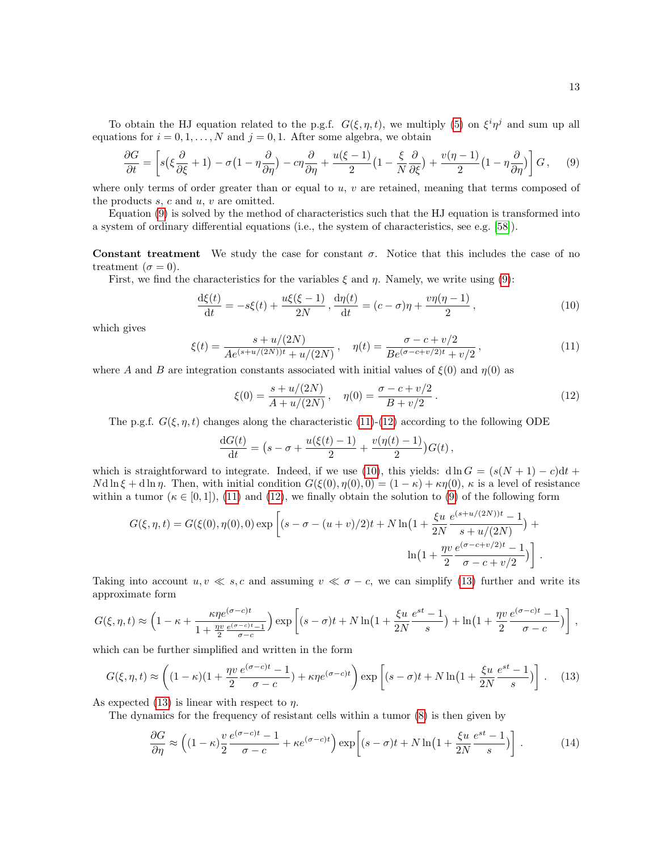To obtain the HJ equation related to the p.g.f.  $G(\xi, \eta, t)$ , we multiply [\(5\)](#page-11-1) on  $\xi^i \eta^j$  and sum up all equations for  $i = 0, 1, ..., N$  and  $j = 0, 1$ . After some algebra, we obtain

<span id="page-12-0"></span>
$$
\frac{\partial G}{\partial t} = \left[ s(\xi \frac{\partial}{\partial \xi} + 1) - \sigma(1 - \eta \frac{\partial}{\partial \eta}) - c\eta \frac{\partial}{\partial \eta} + \frac{u(\xi - 1)}{2} \left( 1 - \frac{\xi}{N} \frac{\partial}{\partial \xi} \right) + \frac{v(\eta - 1)}{2} \left( 1 - \eta \frac{\partial}{\partial \eta} \right) \right] G, \quad (9)
$$

where only terms of order greater than or equal to  $u, v$  are retained, meaning that terms composed of the products  $s, c$  and  $u, v$  are omitted.

Equation [\(9\)](#page-12-0) is solved by the method of characteristics such that the HJ equation is transformed into a system of ordinary differential equations (i.e., the system of characteristics, see e.g. [\[58\]](#page-16-5)).

Constant treatment We study the case for constant  $\sigma$ . Notice that this includes the case of no treatment ( $\sigma = 0$ ).

First, we find the characteristics for the variables  $\xi$  and  $\eta$ . Namely, we write using [\(9\)](#page-12-0):

<span id="page-12-5"></span>
$$
\frac{d\xi(t)}{dt} = -s\xi(t) + \frac{u\xi(\xi - 1)}{2N}, \frac{d\eta(t)}{dt} = (c - \sigma)\eta + \frac{v\eta(\eta - 1)}{2},\tag{10}
$$

which gives

<span id="page-12-3"></span>
$$
\xi(t) = \frac{s + u/(2N)}{A e^{(s + u/(2N))t} + u/(2N)}, \quad \eta(t) = \frac{\sigma - c + v/2}{B e^{(\sigma - c + v/2)t} + v/2},\tag{11}
$$

where A and B are integration constants associated with initial values of  $\xi(0)$  and  $\eta(0)$  as

<span id="page-12-4"></span>
$$
\xi(0) = \frac{s + u/(2N)}{A + u/(2N)}, \quad \eta(0) = \frac{\sigma - c + v/2}{B + v/2}.
$$
\n(12)

The p.g.f.  $G(\xi, \eta, t)$  changes along the characteristic [\(11\)](#page-12-3)-[\(12\)](#page-12-4) according to the following ODE

$$
\frac{dG(t)}{dt} = (s - \sigma + \frac{u(\xi(t) - 1)}{2} + \frac{v(\eta(t) - 1)}{2})G(t),
$$

which is straightforward to integrate. Indeed, if we use [\(10\)](#page-12-5), this yields: d ln  $G = (s(N + 1) - c)dt +$  $N \text{d} \ln \xi + \text{d} \ln \eta$ . Then, with initial condition  $G(\xi(0), \eta(0), 0) = (1 - \kappa) + \kappa \eta(0), \kappa$  is a level of resistance within a tumor ( $\kappa \in [0,1]$ ), [\(11\)](#page-12-3) and [\(12\)](#page-12-4), we finally obtain the solution to [\(9\)](#page-12-0) of the following form

$$
G(\xi, \eta, t) = G(\xi(0), \eta(0), 0) \exp \left[ (s - \sigma - (u + v)/2)t + N \ln(1 + \frac{\xi u}{2N} \frac{e^{(s + u/(2N))t} - 1}{s + u/(2N)} + \ln(1 + \frac{\eta v}{2} \frac{e^{(\sigma - c + v/2)t} - 1}{\sigma - c + v/2}) \right].
$$

Taking into account  $u, v \ll s, c$  and assuming  $v \ll \sigma - c$ , we can simplify [\(13\)](#page-12-1) further and write its approximate form

$$
G(\xi, \eta, t) \approx \left(1 - \kappa + \frac{\kappa \eta e^{(\sigma - c)t}}{1 + \frac{\eta v}{2} \frac{e^{(\sigma - c)t} - 1}{\sigma - c}}\right) \exp\left[(s - \sigma)t + N\ln\left(1 + \frac{\xi u}{2N} \frac{e^{st} - 1}{s}\right) + \ln\left(1 + \frac{\eta v}{2} \frac{e^{(\sigma - c)t} - 1}{\sigma - c}\right)\right],
$$

which can be further simplified and written in the form

<span id="page-12-1"></span>
$$
G(\xi, \eta, t) \approx \left( (1 - \kappa)(1 + \frac{\eta v}{2} \frac{e^{(\sigma - c)t} - 1}{\sigma - c}) + \kappa \eta e^{(\sigma - c)t} \right) \exp\left[ (s - \sigma)t + N \ln\left(1 + \frac{\xi u}{2N} \frac{e^{st} - 1}{s}\right) \right].
$$
 (13)

As expected [\(13\)](#page-12-1) is linear with respect to  $\eta$ .

The dynamics for the frequency of resistant cells within a tumor [\(8\)](#page-11-0) is then given by

<span id="page-12-2"></span>
$$
\frac{\partial G}{\partial \eta} \approx \left( (1 - \kappa) \frac{v e^{(\sigma - c)t} - 1}{2 \sigma - c} + \kappa e^{(\sigma - c)t} \right) \exp\left[ (s - \sigma)t + N \ln\left(1 + \frac{\xi u e^{st} - 1}{2N s}\right) \right].
$$
 (14)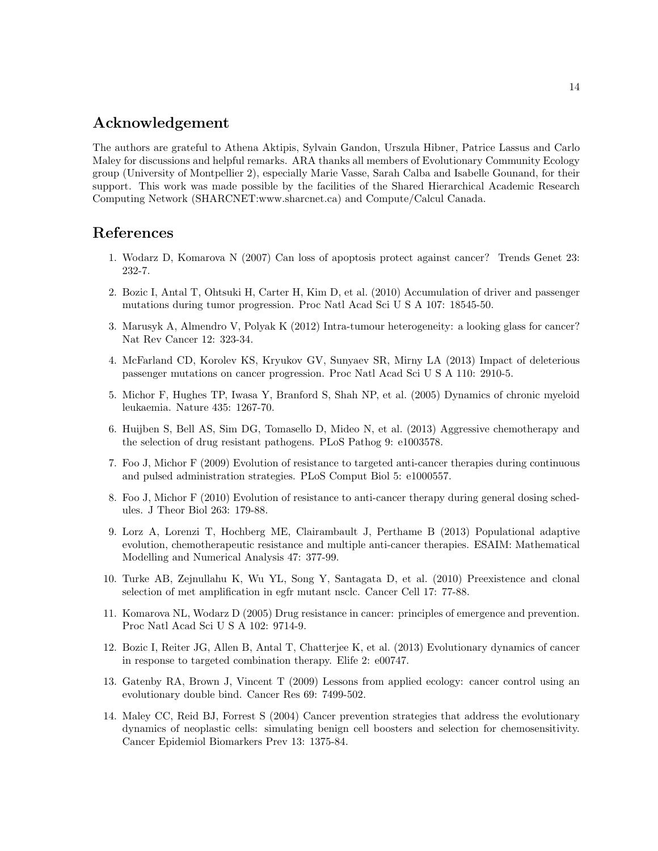# Acknowledgement

The authors are grateful to Athena Aktipis, Sylvain Gandon, Urszula Hibner, Patrice Lassus and Carlo Maley for discussions and helpful remarks. ARA thanks all members of Evolutionary Community Ecology group (University of Montpellier 2), especially Marie Vasse, Sarah Calba and Isabelle Gounand, for their support. This work was made possible by the facilities of the Shared Hierarchical Academic Research Computing Network (SHARCNET:www.sharcnet.ca) and Compute/Calcul Canada.

## <span id="page-13-0"></span>References

- 1. Wodarz D, Komarova N (2007) Can loss of apoptosis protect against cancer? Trends Genet 23: 232-7.
- <span id="page-13-1"></span>2. Bozic I, Antal T, Ohtsuki H, Carter H, Kim D, et al. (2010) Accumulation of driver and passenger mutations during tumor progression. Proc Natl Acad Sci U S A 107: 18545-50.
- 3. Marusyk A, Almendro V, Polyak K (2012) Intra-tumour heterogeneity: a looking glass for cancer? Nat Rev Cancer 12: 323-34.
- <span id="page-13-2"></span>4. McFarland CD, Korolev KS, Kryukov GV, Sunyaev SR, Mirny LA (2013) Impact of deleterious passenger mutations on cancer progression. Proc Natl Acad Sci U S A 110: 2910-5.
- <span id="page-13-3"></span>5. Michor F, Hughes TP, Iwasa Y, Branford S, Shah NP, et al. (2005) Dynamics of chronic myeloid leukaemia. Nature 435: 1267-70.
- <span id="page-13-4"></span>6. Huijben S, Bell AS, Sim DG, Tomasello D, Mideo N, et al. (2013) Aggressive chemotherapy and the selection of drug resistant pathogens. PLoS Pathog 9: e1003578.
- <span id="page-13-5"></span>7. Foo J, Michor F (2009) Evolution of resistance to targeted anti-cancer therapies during continuous and pulsed administration strategies. PLoS Comput Biol 5: e1000557.
- <span id="page-13-10"></span>8. Foo J, Michor F (2010) Evolution of resistance to anti-cancer therapy during general dosing schedules. J Theor Biol 263: 179-88.
- <span id="page-13-6"></span>9. Lorz A, Lorenzi T, Hochberg ME, Clairambault J, Perthame B (2013) Populational adaptive evolution, chemotherapeutic resistance and multiple anti-cancer therapies. ESAIM: Mathematical Modelling and Numerical Analysis 47: 377-99.
- <span id="page-13-7"></span>10. Turke AB, Zejnullahu K, Wu YL, Song Y, Santagata D, et al. (2010) Preexistence and clonal selection of met amplification in egfr mutant nsclc. Cancer Cell 17: 77-88.
- <span id="page-13-8"></span>11. Komarova NL, Wodarz D (2005) Drug resistance in cancer: principles of emergence and prevention. Proc Natl Acad Sci U S A 102: 9714-9.
- <span id="page-13-12"></span>12. Bozic I, Reiter JG, Allen B, Antal T, Chatterjee K, et al. (2013) Evolutionary dynamics of cancer in response to targeted combination therapy. Elife 2: e00747.
- <span id="page-13-11"></span>13. Gatenby RA, Brown J, Vincent T (2009) Lessons from applied ecology: cancer control using an evolutionary double bind. Cancer Res 69: 7499-502.
- <span id="page-13-9"></span>14. Maley CC, Reid BJ, Forrest S (2004) Cancer prevention strategies that address the evolutionary dynamics of neoplastic cells: simulating benign cell boosters and selection for chemosensitivity. Cancer Epidemiol Biomarkers Prev 13: 1375-84.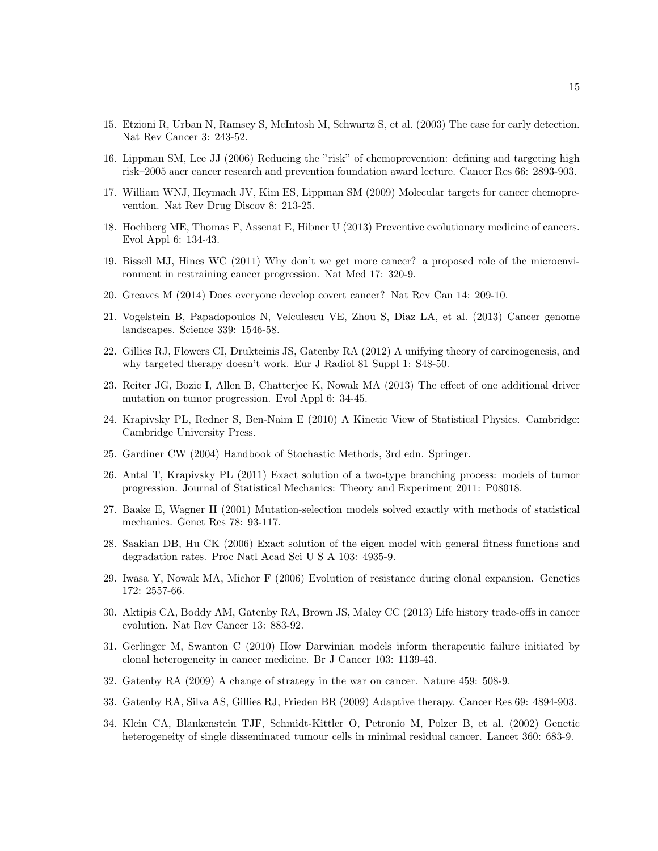- <span id="page-14-0"></span>15. Etzioni R, Urban N, Ramsey S, McIntosh M, Schwartz S, et al. (2003) The case for early detection. Nat Rev Cancer 3: 243-52.
- <span id="page-14-19"></span>16. Lippman SM, Lee JJ (2006) Reducing the "risk" of chemoprevention: defining and targeting high risk–2005 aacr cancer research and prevention foundation award lecture. Cancer Res 66: 2893-903.
- <span id="page-14-18"></span>17. William WNJ, Heymach JV, Kim ES, Lippman SM (2009) Molecular targets for cancer chemoprevention. Nat Rev Drug Discov 8: 213-25.
- <span id="page-14-1"></span>18. Hochberg ME, Thomas F, Assenat E, Hibner U (2013) Preventive evolutionary medicine of cancers. Evol Appl 6: 134-43.
- <span id="page-14-2"></span>19. Bissell MJ, Hines WC (2011) Why don't we get more cancer? a proposed role of the microenvironment in restraining cancer progression. Nat Med 17: 320-9.
- <span id="page-14-3"></span>20. Greaves M (2014) Does everyone develop covert cancer? Nat Rev Can 14: 209-10.
- <span id="page-14-4"></span>21. Vogelstein B, Papadopoulos N, Velculescu VE, Zhou S, Diaz LA, et al. (2013) Cancer genome landscapes. Science 339: 1546-58.
- <span id="page-14-5"></span>22. Gillies RJ, Flowers CI, Drukteinis JS, Gatenby RA (2012) A unifying theory of carcinogenesis, and why targeted therapy doesn't work. Eur J Radiol 81 Suppl 1: S48-50.
- <span id="page-14-6"></span>23. Reiter JG, Bozic I, Allen B, Chatterjee K, Nowak MA (2013) The effect of one additional driver mutation on tumor progression. Evol Appl 6: 34-45.
- <span id="page-14-7"></span>24. Krapivsky PL, Redner S, Ben-Naim E (2010) A Kinetic View of Statistical Physics. Cambridge: Cambridge University Press.
- <span id="page-14-8"></span>25. Gardiner CW (2004) Handbook of Stochastic Methods, 3rd edn. Springer.
- <span id="page-14-9"></span>26. Antal T, Krapivsky PL (2011) Exact solution of a two-type branching process: models of tumor progression. Journal of Statistical Mechanics: Theory and Experiment 2011: P08018.
- <span id="page-14-10"></span>27. Baake E, Wagner H (2001) Mutation-selection models solved exactly with methods of statistical mechanics. Genet Res 78: 93-117.
- <span id="page-14-11"></span>28. Saakian DB, Hu CK (2006) Exact solution of the eigen model with general fitness functions and degradation rates. Proc Natl Acad Sci U S A 103: 4935-9.
- <span id="page-14-12"></span>29. Iwasa Y, Nowak MA, Michor F (2006) Evolution of resistance during clonal expansion. Genetics 172: 2557-66.
- <span id="page-14-13"></span>30. Aktipis CA, Boddy AM, Gatenby RA, Brown JS, Maley CC (2013) Life history trade-offs in cancer evolution. Nat Rev Cancer 13: 883-92.
- <span id="page-14-14"></span>31. Gerlinger M, Swanton C (2010) How Darwinian models inform therapeutic failure initiated by clonal heterogeneity in cancer medicine. Br J Cancer 103: 1139-43.
- <span id="page-14-15"></span>32. Gatenby RA (2009) A change of strategy in the war on cancer. Nature 459: 508-9.
- <span id="page-14-16"></span>33. Gatenby RA, Silva AS, Gillies RJ, Frieden BR (2009) Adaptive therapy. Cancer Res 69: 4894-903.
- <span id="page-14-17"></span>34. Klein CA, Blankenstein TJF, Schmidt-Kittler O, Petronio M, Polzer B, et al. (2002) Genetic heterogeneity of single disseminated tumour cells in minimal residual cancer. Lancet 360: 683-9.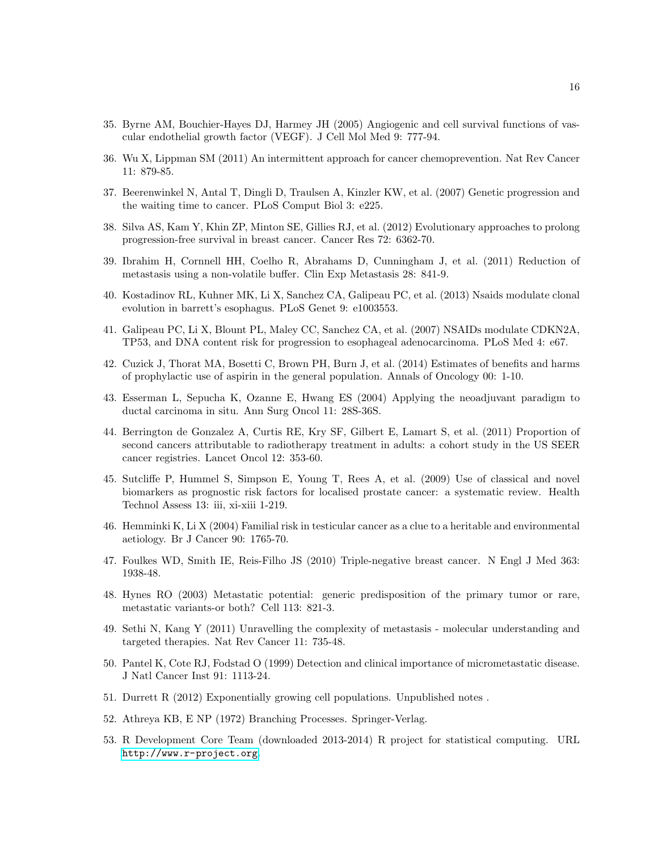- <span id="page-15-0"></span>35. Byrne AM, Bouchier-Hayes DJ, Harmey JH (2005) Angiogenic and cell survival functions of vascular endothelial growth factor (VEGF). J Cell Mol Med 9: 777-94.
- <span id="page-15-1"></span>36. Wu X, Lippman SM (2011) An intermittent approach for cancer chemoprevention. Nat Rev Cancer 11: 879-85.
- <span id="page-15-2"></span>37. Beerenwinkel N, Antal T, Dingli D, Traulsen A, Kinzler KW, et al. (2007) Genetic progression and the waiting time to cancer. PLoS Comput Biol 3: e225.
- <span id="page-15-3"></span>38. Silva AS, Kam Y, Khin ZP, Minton SE, Gillies RJ, et al. (2012) Evolutionary approaches to prolong progression-free survival in breast cancer. Cancer Res 72: 6362-70.
- <span id="page-15-4"></span>39. Ibrahim H, Cornnell HH, Coelho R, Abrahams D, Cunningham J, et al. (2011) Reduction of metastasis using a non-volatile buffer. Clin Exp Metastasis 28: 841-9.
- <span id="page-15-5"></span>40. Kostadinov RL, Kuhner MK, Li X, Sanchez CA, Galipeau PC, et al. (2013) Nsaids modulate clonal evolution in barrett's esophagus. PLoS Genet 9: e1003553.
- <span id="page-15-6"></span>41. Galipeau PC, Li X, Blount PL, Maley CC, Sanchez CA, et al. (2007) NSAIDs modulate CDKN2A, TP53, and DNA content risk for progression to esophageal adenocarcinoma. PLoS Med 4: e67.
- <span id="page-15-7"></span>42. Cuzick J, Thorat MA, Bosetti C, Brown PH, Burn J, et al. (2014) Estimates of benefits and harms of prophylactic use of aspirin in the general population. Annals of Oncology 00: 1-10.
- <span id="page-15-8"></span>43. Esserman L, Sepucha K, Ozanne E, Hwang ES (2004) Applying the neoadjuvant paradigm to ductal carcinoma in situ. Ann Surg Oncol 11: 28S-36S.
- <span id="page-15-9"></span>44. Berrington de Gonzalez A, Curtis RE, Kry SF, Gilbert E, Lamart S, et al. (2011) Proportion of second cancers attributable to radiotherapy treatment in adults: a cohort study in the US SEER cancer registries. Lancet Oncol 12: 353-60.
- <span id="page-15-10"></span>45. Sutcliffe P, Hummel S, Simpson E, Young T, Rees A, et al. (2009) Use of classical and novel biomarkers as prognostic risk factors for localised prostate cancer: a systematic review. Health Technol Assess 13: iii, xi-xiii 1-219.
- <span id="page-15-11"></span>46. Hemminki K, Li X (2004) Familial risk in testicular cancer as a clue to a heritable and environmental aetiology. Br J Cancer 90: 1765-70.
- <span id="page-15-12"></span>47. Foulkes WD, Smith IE, Reis-Filho JS (2010) Triple-negative breast cancer. N Engl J Med 363: 1938-48.
- 48. Hynes RO (2003) Metastatic potential: generic predisposition of the primary tumor or rare, metastatic variants-or both? Cell 113: 821-3.
- <span id="page-15-13"></span>49. Sethi N, Kang Y (2011) Unravelling the complexity of metastasis - molecular understanding and targeted therapies. Nat Rev Cancer 11: 735-48.
- <span id="page-15-14"></span>50. Pantel K, Cote RJ, Fodstad O (1999) Detection and clinical importance of micrometastatic disease. J Natl Cancer Inst 91: 1113-24.
- <span id="page-15-15"></span>51. Durrett R (2012) Exponentially growing cell populations. Unpublished notes .
- <span id="page-15-16"></span>52. Athreya KB, E NP (1972) Branching Processes. Springer-Verlag.
- <span id="page-15-17"></span>53. R Development Core Team (downloaded 2013-2014) R project for statistical computing. URL <http://www.r-project.org>.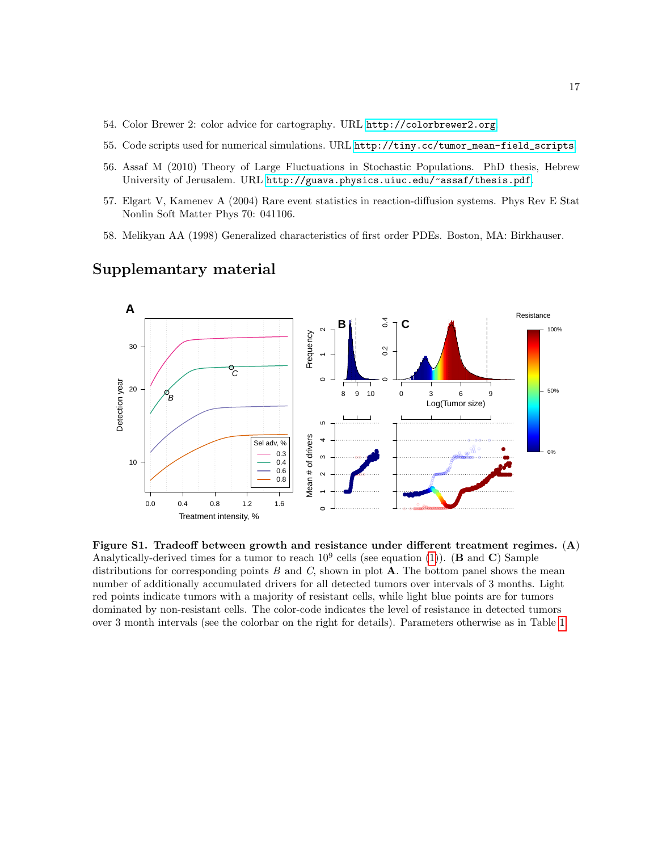- <span id="page-16-1"></span>54. Color Brewer 2: color advice for cartography. URL <http://colorbrewer2.org>.
- <span id="page-16-2"></span>55. Code scripts used for numerical simulations. URL [http://tiny.cc/tumor\\_mean-field\\_scripts](http://tiny.cc/tumor_mean-field_scripts).
- <span id="page-16-3"></span>56. Assaf M (2010) Theory of Large Fluctuations in Stochastic Populations. PhD thesis, Hebrew University of Jerusalem. URL <http://guava.physics.uiuc.edu/~assaf/thesis.pdf>.
- <span id="page-16-4"></span>57. Elgart V, Kamenev A (2004) Rare event statistics in reaction-diffusion systems. Phys Rev E Stat Nonlin Soft Matter Phys 70: 041106.
- <span id="page-16-5"></span>58. Melikyan AA (1998) Generalized characteristics of first order PDEs. Boston, MA: Birkhauser.

<span id="page-16-0"></span>

# Supplemantary material

Figure S1. Tradeoff between growth and resistance under different treatment regimes. (A) Analytically-derived times for a tumor to reach  $10^9$  cells (see equation [\(1\)](#page-2-0)). (**B** and **C**) Sample distributions for corresponding points  $B$  and  $C$ , shown in plot  $A$ . The bottom panel shows the mean number of additionally accumulated drivers for all detected tumors over intervals of 3 months. Light red points indicate tumors with a majority of resistant cells, while light blue points are for tumors dominated by non-resistant cells. The color-code indicates the level of resistance in detected tumors over 3 month intervals (see the colorbar on the right for details). Parameters otherwise as in Table [1.](#page-2-1)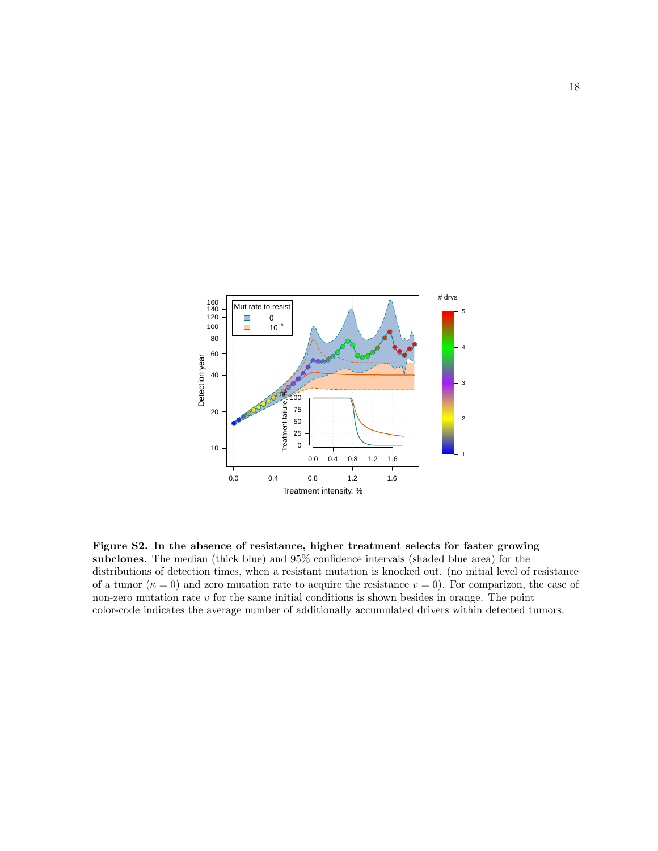<span id="page-17-0"></span>

Figure S2. In the absence of resistance, higher treatment selects for faster growing subclones. The median (thick blue) and 95% confidence intervals (shaded blue area) for the distributions of detection times, when a resistant mutation is knocked out. (no initial level of resistance of a tumor  $(\kappa = 0)$  and zero mutation rate to acquire the resistance  $v = 0$ ). For comparizon, the case of non-zero mutation rate  $v$  for the same initial conditions is shown besides in orange. The point color-code indicates the average number of additionally accumulated drivers within detected tumors.